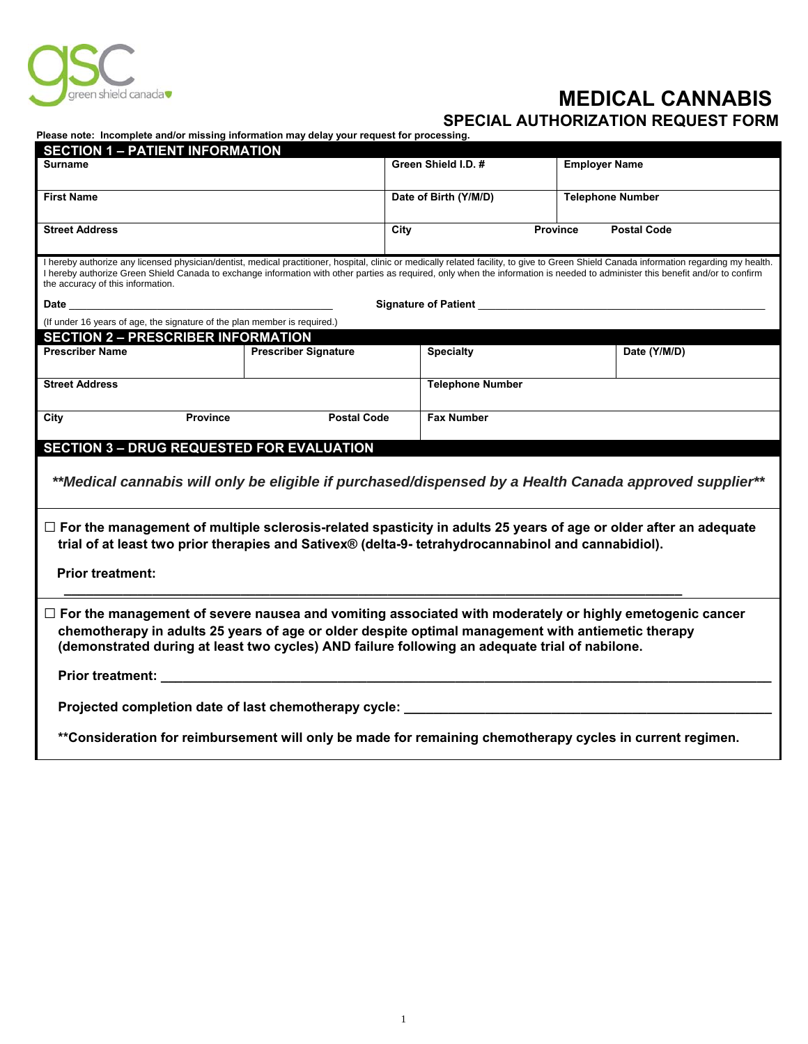

## **MEDICAL CANNABIS**<br>SPECIAL AUTHORIZATION REQUEST FORM SPECIAL AUTHORIZATION REQUEST FORM

**Please note: Incomplete and/or missing information may delay your request for processing.**

| <b>SECTION 1 - PATIENT INFORMATION</b>                                                                                                                                                                                                                                                                                                                                                                           |                                                                           |                       |                                       |                         |  |  |
|------------------------------------------------------------------------------------------------------------------------------------------------------------------------------------------------------------------------------------------------------------------------------------------------------------------------------------------------------------------------------------------------------------------|---------------------------------------------------------------------------|-----------------------|---------------------------------------|-------------------------|--|--|
| Surname                                                                                                                                                                                                                                                                                                                                                                                                          |                                                                           | Green Shield I.D. #   |                                       | <b>Employer Name</b>    |  |  |
| <b>First Name</b>                                                                                                                                                                                                                                                                                                                                                                                                |                                                                           | Date of Birth (Y/M/D) |                                       | <b>Telephone Number</b> |  |  |
| <b>Street Address</b>                                                                                                                                                                                                                                                                                                                                                                                            |                                                                           | City                  | <b>Province</b><br><b>Postal Code</b> |                         |  |  |
| I hereby authorize any licensed physician/dentist, medical practitioner, hospital, clinic or medically related facility, to give to Green Shield Canada information regarding my health.<br>I hereby authorize Green Shield Canada to exchange information with other parties as required, only when the information is needed to administer this benefit and/or to confirm<br>the accuracy of this information. |                                                                           |                       |                                       |                         |  |  |
| Signature of Patient <b>contract the Signature of Patient</b><br>Date and the contract of the contract of the contract of the contract of the contract of the contract of the contract of the contract of the contract of the contract of the contract of the contract of the contract of the c                                                                                                                  |                                                                           |                       |                                       |                         |  |  |
|                                                                                                                                                                                                                                                                                                                                                                                                                  | (If under 16 years of age, the signature of the plan member is required.) |                       |                                       |                         |  |  |
| <b>SECTION 2 - PRESCRIBER INFORMATION</b>                                                                                                                                                                                                                                                                                                                                                                        |                                                                           |                       |                                       |                         |  |  |
| <b>Prescriber Name</b>                                                                                                                                                                                                                                                                                                                                                                                           | <b>Prescriber Signature</b>                                               | <b>Specialty</b>      |                                       | Date (Y/M/D)            |  |  |
| <b>Street Address</b>                                                                                                                                                                                                                                                                                                                                                                                            |                                                                           |                       | <b>Telephone Number</b>               |                         |  |  |
| <b>Province</b><br>City                                                                                                                                                                                                                                                                                                                                                                                          | <b>Postal Code</b>                                                        |                       | <b>Fax Number</b>                     |                         |  |  |
| <b>SECTION 3 - DRUG REQUESTED FOR EVALUATION</b>                                                                                                                                                                                                                                                                                                                                                                 |                                                                           |                       |                                       |                         |  |  |
| **Medical cannabis will only be eligible if purchased/dispensed by a Health Canada approved supplier**                                                                                                                                                                                                                                                                                                           |                                                                           |                       |                                       |                         |  |  |
| $\Box$ For the management of multiple sclerosis-related spasticity in adults 25 years of age or older after an adequate<br>trial of at least two prior therapies and Sativex® (delta-9- tetrahydrocannabinol and cannabidiol).                                                                                                                                                                                   |                                                                           |                       |                                       |                         |  |  |
| <b>Prior treatment:</b>                                                                                                                                                                                                                                                                                                                                                                                          |                                                                           |                       |                                       |                         |  |  |
| $\Box$ For the management of severe nausea and vomiting associated with moderately or highly emetogenic cancer<br>chemotherapy in adults 25 years of age or older despite optimal management with antiemetic therapy<br>(demonstrated during at least two cycles) AND failure following an adequate trial of nabilone.                                                                                           |                                                                           |                       |                                       |                         |  |  |
| <b>Prior treatment:</b> the contract of the contract of the contract of the contract of the contract of the contract of the contract of the contract of the contract of the contract of the contract of the contract of the contrac                                                                                                                                                                              |                                                                           |                       |                                       |                         |  |  |
| Projected completion date of last chemotherapy cycle: __________                                                                                                                                                                                                                                                                                                                                                 |                                                                           |                       |                                       |                         |  |  |
| ** Consideration for reimbursement will only be made for remaining chemotherapy cycles in current regimen.                                                                                                                                                                                                                                                                                                       |                                                                           |                       |                                       |                         |  |  |